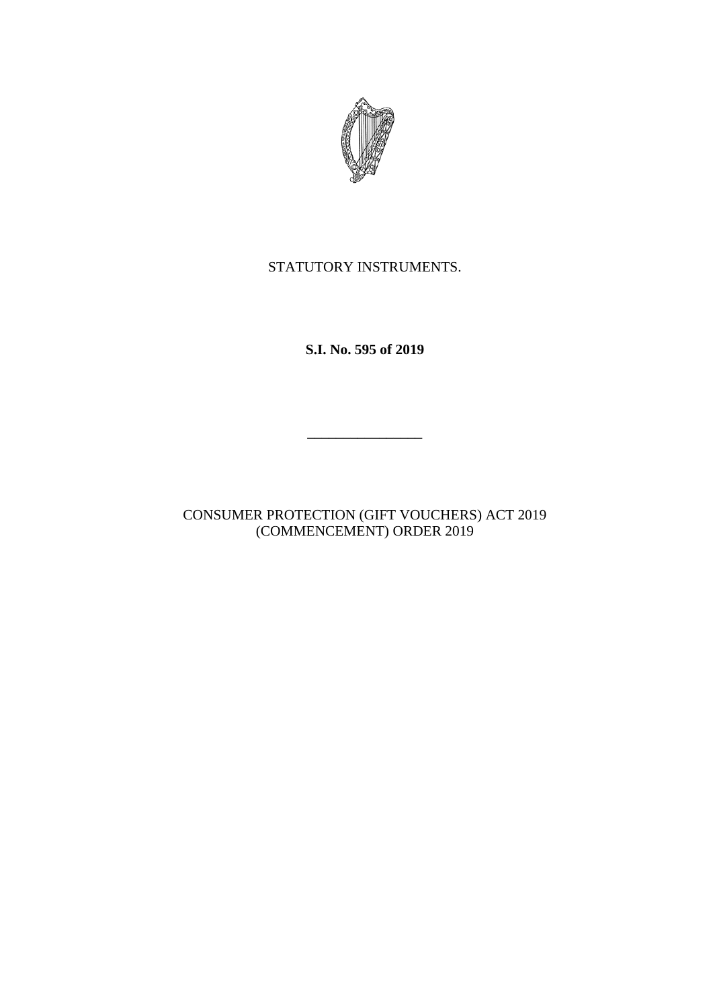

## STATUTORY INSTRUMENTS.

**S.I. No. 595 of 2019**

 $\mathcal{L}=\mathcal{L}^{\mathcal{L}}$ 

CONSUMER PROTECTION (GIFT VOUCHERS) ACT 2019 (COMMENCEMENT) ORDER 2019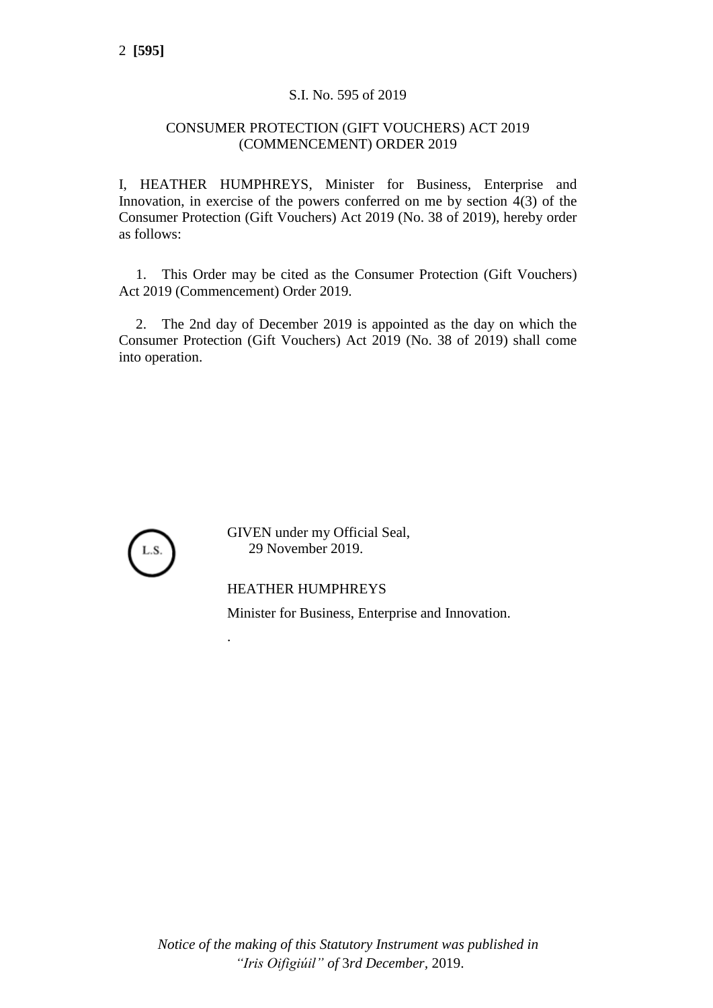## S.I. No. 595 of 2019

## CONSUMER PROTECTION (GIFT VOUCHERS) ACT 2019 (COMMENCEMENT) ORDER 2019

I, HEATHER HUMPHREYS, Minister for Business, Enterprise and Innovation, in exercise of the powers conferred on me by section 4(3) of the Consumer Protection (Gift Vouchers) Act 2019 (No. 38 of 2019), hereby order as follows:

1. This Order may be cited as the Consumer Protection (Gift Vouchers) Act 2019 (Commencement) Order 2019.

2. The 2nd day of December 2019 is appointed as the day on which the Consumer Protection (Gift Vouchers) Act 2019 (No. 38 of 2019) shall come into operation.



.

GIVEN under my Official Seal, 29 November 2019.

HEATHER HUMPHREYS Minister for Business, Enterprise and Innovation.